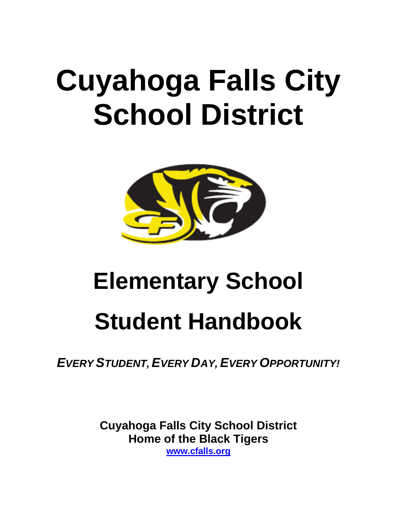# **Cuyahoga Falls City School District**



## **Elementary School**

## **Student Handbook**

*EVERY STUDENT, EVERY DAY, EVERY OPPORTUNITY!*

**Cuyahoga Falls City School District Home of the Black Tigers [www.cfalls.org](http://www.cfalls.org/)**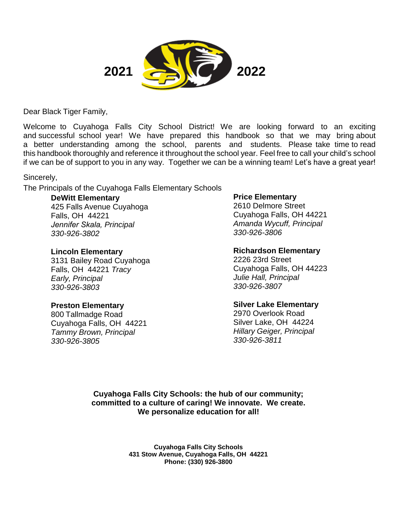

Dear Black Tiger Family,

Welcome to Cuyahoga Falls City School District! We are looking forward to an exciting and successful school year! We have prepared this handbook so that we may bring about a better understanding among the school, parents and students. Please take time to read this handbook thoroughly and reference it throughout the school year. Feel free to call your child's school if we can be of support to you in any way. Together we can be a winning team! Let's have a great year!

Sincerely,

The Principals of the Cuyahoga Falls Elementary Schools

### **DeWitt Elementary**

425 Falls Avenue Cuyahoga Falls, OH 44221 *Jennifer Skala, Principal 330-926-3802*

## **Lincoln Elementary**

3131 Bailey Road Cuyahoga Falls, OH 44221 *Tracy Early, Principal 330-926-3803*

## **Preston Elementary**

800 Tallmadge Road Cuyahoga Falls, OH 44221 *Tammy Brown, Principal 330-926-3805 330-926-3811*

## **Price Elementary**

2610 Delmore Street Cuyahoga Falls, OH 44221 *Amanda Wycuff, Principal 330-926-3806*

## **Richardson Elementary**

2226 23rd Street Cuyahoga Falls, OH 44223 *Julie Hall, Principal 330-926-3807*

## **Silver Lake Elementary**

2970 Overlook Road Silver Lake, OH 44224 *Hillary Geiger, Principal*

**Cuyahoga Falls City Schools: the hub of our community; committed to a culture of caring! We innovate. We create. We personalize education for all!**

> **Cuyahoga Falls City Schools 431 Stow Avenue, Cuyahoga Falls, OH 44221 Phone: (330) 926-3800**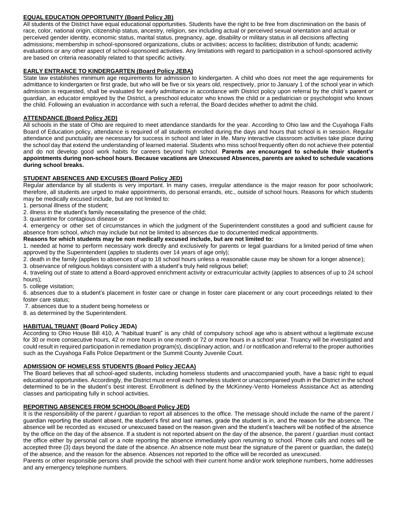#### **EQUAL EDUCATION OPPORTUNITY (Board Policy JB)**

All students of the District have equal educational opportunities. Students have the right to be free from discrimination on the basis of race, color, national origin, citizenship status, ancestry, religion, sex including actual or perceived sexual orientation and actual or perceived gender identity, economic status, marital status, pregnancy, age, disability or military status in all decisions affecting admissions; membership in school-sponsored organizations, clubs or activities; access to facilities; distribution of funds; academic evaluations or any other aspect of school-sponsored activities. Any limitations with regard to participation in a school-sponsored activity are based on criteria reasonably related to that specific activity.

#### **EARLY ENTRANCE TO KINDERGARTEN (Board Policy JEBA)**

State law establishes minimum age requirements for admission to kindergarten. A child who does not meet the age requirements for admittance to kindergarten or first grade, but who will be five or six years old, respectively, prior to January 1 of the school year in which admission is requested, shall be evaluated for early admittance in accordance with District policy upon referral by the child's parent or guardian, an educator employed by the District, a preschool educator who knows the child or a pediatrician or psychologist who knows the child. Following an evaluation in accordance with such a referral, the Board decides whether to admit the child.

#### **ATTENDANCE (Board Policy JED)**

All schools in the state of Ohio are required to meet attendance standards for the year. According to Ohio law and the Cuyahoga Falls Board of Education policy, attendance is required of all students enrolled during the days and hours that school is in session. Regular attendance and punctuality are necessary for success in school and later in life. Many interactive classroom activities take place during the school day that extend the understanding of learned material. Students who miss school frequently often do not achieve their potential and do not develop good work habits for careers beyond high school. **Parents are encouraged to schedule their student's** appointments during non-school hours. Because vacations are Unexcused Absences, parents are asked to schedule vacations **during school breaks.**

#### **STUDENT ABSENCES AND EXCUSES (Board Policy JED)**

Regular attendance by all students is very important. In many cases, irregular attendance is the major reason for poor schoolwork; therefore, all students are urged to make appointments, do personal errands, etc., outside of school hours. Reasons for which students may be medically excused include, but are not limited to:

1. personal illness of the student;

2. illness in the student's family necessitating the presence of the child;

3. quarantine for contagious disease or

4. emergency or other set of circumstances in which the judgment of the Superintendent constitutes a good and sufficient cause for absence from school, which may include but not be limited to absences due to documented medical appointments.

#### **Reasons for which students may be non medically excused include, but are not limited to:**

1. needed at home to perform necessary work directly and exclusively for parents or legal guardians for a limited period of time when approved by the Superintendent (applies to students over 14 years of age only);

2. death in the family (applies to absences of up to 18 school hours unless a reasonable cause may be shown for a longer absence);

3. observance of religious holidays consistent with a student's truly held religious belief;

4. traveling out of state to attend a Board-approved enrichment activity or extracurricular activity (applies to absences of up to 24 school hours);

5. college visitation;

6. absences due to a student's placement in foster care or change in foster care placement or any court proceedings related to their foster care status;

7. absences due to a student being homeless or

8. as determined by the Superintendent.

#### **HABITUAL TRUANT (Board Policy JEDA)**

According to Ohio House Bill 410, A "habitual truant" is any child of compulsory school age who is absent without a legitimate excuse for 30 or more consecutive hours, 42 or more hours in one month or 72 or more hours in a school year. Truancy will be investigated and could result in required participation in remediation program(s), disciplinary action, and / or notification and referral to the proper authorities such as the Cuyahoga Falls Police Department or the Summit County Juvenile Court.

#### **ADMISSION OF HOMELESS STUDENTS (Board Policy JECAA)**

The Board believes that all school-aged students, including homeless students and unaccompanied youth, have a basic right to equal educational opportunities. Accordingly, the District must enroll each homeless student or unaccompanied youth in the District in the school determined to be in the student's best interest. Enrollment is defined by the McKinney-Vento Homeless Assistance Act as attending classes and participating fully in school activities.

#### **REPORTING ABSENCES FROM SCHOOL(Board Policy JED)**

It is the responsibility of the parent / guardian to report all absences to the office. The message should include the name of the parent / guardian reporting the student absent, the student's first and last names, grade the student is in, and the reason for the absence. The absence will be recorded as excused or unexcused based on the reason given and the student's teachers will be notified of the absence by the office on the day of the absence. If a student is not reported absent on the day of the absence, the parent / guardian must contact the office either by personal call or a note reporting the absence immediately upon returning to school. Phone calls and notes will be accepted three (3) days beyond the date of the absence. An absence note must bear the signature of the parent or guardian, the date(s) of the absence, and the reason for the absence. Absences not reported to the office will be recorded as unexcused.

Parents or other responsible persons shall provide the school with their current home and/or work telephone numbers, home addresses and any emergency telephone numbers.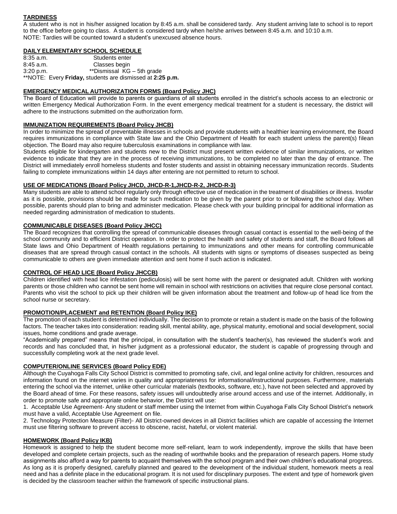#### **TARDINESS**

A student who is not in his/her assigned location by 8:45 a.m. shall be considered tardy. Any student arriving late to school is to report to the office before going to class. A student is considered tardy when he/she arrives between 8:45 a.m. and 10:10 a.m. NOTE: Tardies will be counted toward a student's unexcused absence hours.

#### **DAILY ELEMENTARY SCHOOL SCHEDULE**

| $8:35$ a.m. | Students enter                                            |
|-------------|-----------------------------------------------------------|
| $8:45$ a.m. | Classes begin                                             |
| 3:20 p.m.   | **Dismissal KG - 5th grade                                |
|             | **NOTE: Every Friday, students are dismissed at 2:25 p.m. |

#### **EMERGENCY MEDICAL AUTHORIZATION FORMS (Board Policy JHC)**

The Board of Education will provide to parents or guardians of all students enrolled in the district's schools access to an electronic or written Emergency Medical Authorization Form. In the event emergency medical treatment for a student is necessary, the district will adhere to the instructions submitted on the authorization form.

#### **IMMUNIZATION REQUIREMENTS (Board Policy JHCB)**

In order to minimize the spread of preventable illnesses in schools and provide students with a healthier learning environment, the Board requires immunizations in compliance with State law and the Ohio Department of Health for each student unless the parent(s) filean objection. The Board may also require tuberculosis examinations in compliance with law.

Students eligible for kindergarten and students new to the District must present written evidence of similar immunizations, or written evidence to indicate that they are in the process of receiving immunizations, to be completed no later than the day of entrance. The District will immediately enroll homeless students and foster students and assist in obtaining necessary immunization records. Students failing to complete immunizations within 14 days after entering are not permitted to return to school.

#### **USE OF MEDICATIONS (Board Policy JHCD, JHCD-R-1,JHCD-R-2, JHCD-R-3)**

Many students are able to attend school regularly only through effective use of medication in the treatment of disabilities or illness. Insofar as it is possible, provisions should be made for such medication to be given by the parent prior to or following the school day. When possible, parents should plan to bring and administer medication. Please check with your building principal for additional information as needed regarding administration of medication to students.

#### **COMMUNICABLE DISEASES (Board Policy JHCC)**

The Board recognizes that controlling the spread of communicable diseases through casual contact is essential to the well-being of the school community and to efficient District operation. In order to protect the health and safety of students and staff, the Board follows all State laws and Ohio Department of Health regulations pertaining to immunizations and other means for controlling communicable diseases that are spread through casual contact in the schools. All students with signs or symptoms of diseases suspected as being communicable to others are given immediate attention and sent home if such action is indicated.

#### **CONTROL OF HEAD LICE (Board Policy JHCCB)**

Children identified with head lice infestation (pediculosis) will be sent home with the parent or designated adult. Children with working parents or those children who cannot be sent home will remain in school with restrictions on activities that require close personal contact. Parents who visit the school to pick up their children will be given information about the treatment and follow-up of head lice from the school nurse or secretary.

#### **PROMOTION/PLACEMENT and RETENTION (Board Policy IKE)**

The promotion of each student is determined individually. The decision to promote or retain a student is made on the basis of the following factors. The teacher takes into consideration: reading skill, mental ability, age, physical maturity, emotional and social development, social issues, home conditions and grade average.

"Academically prepared" means that the principal, in consultation with the student's teacher(s), has reviewed the student's work and records and has concluded that, in his/her judgment as a professional educator, the student is capable of progressing through and successfully completing work at the next grade level.

#### **COMPUTER/ONLINE SERVICES (Board Policy EDE)**

Although the Cuyahoga Falls City School District is committed to promoting safe, civil, and legal online activity for children, resources and information found on the internet varies in quality and appropriateness for informational/instructional purposes. Furthermore, materials entering the school via the internet, unlike other curricular materials (textbooks, software, etc.), have not been selected and approved by the Board ahead of time. For these reasons, safety issues will undoubtedly arise around access and use of the internet. Additionally, in order to promote safe and appropriate online behavior, the District will use:

1. Acceptable Use Agreement- Any student or staff member using the Internet from within Cuyahoga Falls City School District's network must have a valid, Acceptable Use Agreement on file.

2. Technology Protection Measure (Filter)- All District-owned devices in all District facilities which are capable of accessing the Internet must use filtering software to prevent access to obscene, racist, hateful, or violent material.

#### **HOMEWORK (Board Policy IKB)**

Homework is assigned to help the student become more self-reliant, learn to work independently, improve the skills that have been developed and complete certain projects, such as the reading of worthwhile books and the preparation of research papers. Home study assignments also afford a way for parents to acquaint themselves with the school program and their own children's educational progress. As long as it is properly designed, carefully planned and geared to the development of the individual student, homework meets a real need and has a definite place in the educational program. It is not used for disciplinary purposes. The extent and type of homework given is decided by the classroom teacher within the framework of specific instructional plans.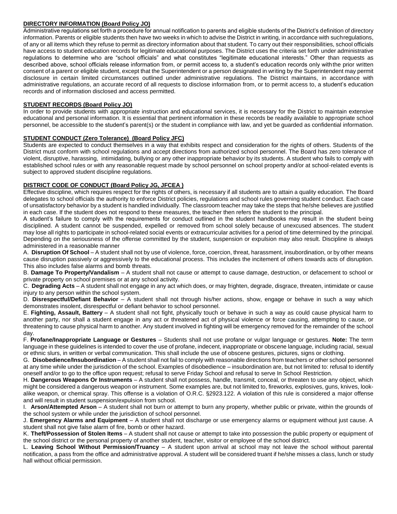#### **DIRECTORY INFORMATION (Board Policy JO)**

Administrative regulations set forth a procedure for annual notification to parents and eligible students of the District's definition of directory information. Parents or eligible students then have two weeks in which to advise the District in writing, in accordance with suchregulations, of any or all items which they refuse to permit as directory information about that student. To carry out their responsibilities, school officials have access to student education records for legitimate educational purposes. The District uses the criteria set forth under administrative regulations to determine who are "school officials" and what constitutes "legitimate educational interests." Other than requests as described above, school officials release information from, or permit access to, a student's education records only withthe prior written consent of a parent or eligible student, except that the Superintendent or a person designated in writing by the Superintendent may permit disclosure in certain limited circumstances outlined under administrative regulations. The District maintains, in accordance with administrative regulations, an accurate record of all requests to disclose information from, or to permit access to, a student's education records and of information disclosed and access permitted.

#### **STUDENT RECORDS (Board Policy JO)**

In order to provide students with appropriate instruction and educational services, it is necessary for the District to maintain extensive educational and personal information. It is essential that pertinent information in these records be readily available to appropriate school personnel, be accessible to the student's parent(s) or the student in compliance with law, and yet be guarded as confidential information.

#### **STUDENT CONDUCT (Zero Tolerance) (Board Policy JFC)**

Students are expected to conduct themselves in a way that exhibits respect and consideration for the rights of others. Students of the District must conform with school regulations and accept directions from authorized school personnel. The Board has zero tolerance of violent, disruptive, harassing, intimidating, bullying or any other inappropriate behavior by its students. A student who fails to comply with established school rules or with any reasonable request made by school personnel on school property and/or at school-related events is subject to approved student discipline regulations.

#### **DISTRICT CODE OF CONDUCT (Board Policy JG, JFCEA )**

Effective discipline, which requires respect for the rights of others, is necessary if all students are to attain a quality education. The Board delegates to school officials the authority to enforce District policies, regulations and school rules governing student conduct. Each case of unsatisfactory behavior by a student is handled individually. The classroom teacher may take the steps that he/she believes are justified in each case. If the student does not respond to these measures, the teacher then refers the student to the principal.

A student's failure to comply with the requirements for conduct outlined in the student handbooks may result in the student being disciplined. A student cannot be suspended, expelled or removed from school solely because of unexcused absences. The student may lose all rights to participate in school-related social events or extracurricular activities for a period of time determined by the principal. Depending on the seriousness of the offense committed by the student, suspension or expulsion may also result. Discipline is always administered in a reasonable manner

A. **Disruption Of School** – A student shall not by use of violence, force, coercion, threat, harassment, insubordination, or by other means cause disruption passively or aggressively to the educational process. This includes the incitement of others towards acts of disruption. This also includes false alarms and bomb threats.

B. **Damage To Property/Vandalism** – A student shall not cause or attempt to cause damage, destruction, or defacement to school or private property on school premises or at any school activity.

C. **Degrading Acts** – A student shall not engage in any act which does, or may frighten, degrade, disgrace, threaten, intimidate or cause injury to any person within the school system.

D. **Disrespectful/Defiant Behavior** – A student shall not through his/her actions, show, engage or behave in such a way which demonstrates insolent, disrespectful or defiant behavior to school personnel.

E. **Fighting, Assault, Battery** – A student shall not fight, physically touch or behave in such a way as could cause physical harm to another party, nor shall a student engage in any act or threatened act of physical violence or force causing, attempting to cause, or threatening to cause physical harm to another. Any student involved in fighting will be emergency removed for the remainder of the school day.

F. **Profane/Inappropriate Language or Gestures** – Students shall not use profane or vulgar language or gestures. **Note:** The term language in these guidelines is intended to cover the use of profane, indecent, inappropriate or obscene language, including racial, sexual or ethnic slurs, in written or verbal communication. This shall include the use of obscene gestures, pictures, signs or clothing.

G. **Disobedience/Insubordination** – A student shall not fail to comply with reasonable directions from teachers or other school personnel at any time while under the jurisdiction of the school. Examples of disobedience – insubordination are, but not limited to: refusal to identify oneself and/or to go to the office upon request; refusal to serve Friday School and refusal to serve In School Restriction.

H. **Dangerous Weapons Or Instruments** – A student shall not possess, handle, transmit, conceal, or threaten to use any object, which might be considered a dangerous weapon or instrument. Some examples are, but not limited to, fireworks, explosives, guns, knives, lookalike weapon, or chemical spray. This offense is a violation of O.R.C. §2923.122. A violation of this rule is considered a major offense and will result in student suspension/expulsion from school.

I. **Arson/Attempted Arson** – A student shall not burn or attempt to burn any property, whether public or private, within the grounds of the school system or while under the jurisdiction of school personnel.

J. **Emergency Alarms and Equipment** – A student shall not discharge or use emergency alarms or equipment without just cause. A student shall not give false alarm of fire, bomb or other hazard.

K. **Theft/Possession of Stolen Items** – A student shall not cause or attempt to take into possession the public property or equipment of the school district or the personal property of another student, teacher, visitor or employee of the school district.

L. **Leaving School Without Permission/Truancy** – A student upon arrival at school may not leave the school without parental notification, a pass from the office and administrative approval. A student will be considered truant if he/she misses a class, lunch or study hall without official permission.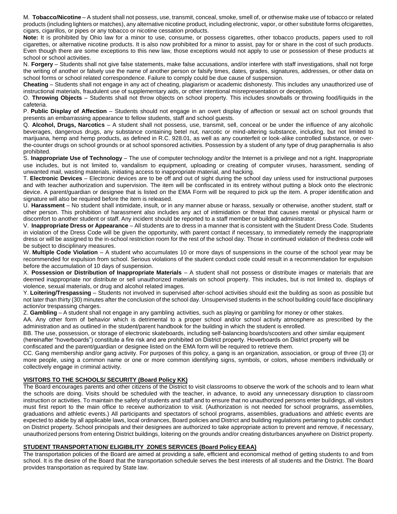M. **Tobacco/Nicotine** – A student shall not possess, use, transmit, conceal, smoke, smell of, or otherwise make use of tobacco or related products (including lighters or matches), any alternative nicotine product, including electronic, vapor, or other substitute forms ofcigarettes, cigars, cigarillos, or pipes or any tobacco or nicotine cessation products.

**Note:** It is prohibited by Ohio law for a minor to use, consume, or possess cigarettes, other tobacco products, papers used to roll cigarettes, or alternative nicotine products. It is also now prohibited for a minor to assist, pay for or share in the cost of such products. Even though there are some exceptions to this new law, those exceptions would not apply to use or possession of these products at school or school activities.

N. **Forgery** – Students shall not give false statements, make false accusations, and/or interfere with staff investigations, shall not forge the writing of another or falsely use the name of another person or falsify times, dates, grades, signatures, addresses, or other data on school forms or school related correspondence. Failure to comply could be due cause of suspension.

**Cheating** – Students shall not engage in any act of cheating, plagiarism or academic dishonesty. This includes any unauthorized use of instructional materials, fraudulent use of supplementary aids, or other intentional misrepresentation or deception.

O. **Throwing Objects** – Students shall not throw objects on school property. This includes snowballs or throwing food/liquids in the cafeteria.

P. **Public Display of Affection** – Students should not engage in an overt display of affection or sexual act on school grounds that presents an embarrassing appearance to fellow students, staff and school guests.

Q. **Alcohol, Drugs, Narcotics** – A student shall not possess, use, transmit, sell, conceal or be under the influence of any alcoholic beverages, dangerous drugs, any substance containing betel nut, narcotic or mind-altering substance, including, but not limited to marijuana, hemp and hemp products, as defined in R.C. 928.01, as well as any counterfeit or look-alike controlled substance, or overthe-counter drugs on school grounds or at school sponsored activities. Possession by a student of any type of drug paraphernalia is also prohibited.

S. **Inappropriate Use of Technology** – The use of computer technology and/or the Internet is a privilege and not a right. Inappropriate use includes, but is not limited to, vandalism to equipment, uploading or creating of computer viruses, harassment, sending of unwanted mail, wasting materials, initiating access to inappropriate material, and hacking.

T. **Electronic Devices** – Electronic devices are to be off and out of sight during the school day unless used for instructional purposes and with teacher authorization and supervision. The item will be confiscated in its entirety without putting a block onto the electronic device. A parent/guardian or designee that is listed on the EMA Form will be required to pick up the item. A proper identification and signature will also be required before the item is released.

U. **Harassment** – No student shall intimidate, insult, or in any manner abuse or harass, sexually or otherwise, another student, staff or other person. This prohibition of harassment also includes any act of intimidation or threat that causes mental or physical harm or discomfort to another student or staff. Any incident should be reported to a staff member or building administrator.

V. **Inappropriate Dress or Appearance** – All students are to dress in a manner that is consistent with the Student Dress Code. Students in violation of the Dress Code will be given the opportunity, with parent contact if necessary, to immediately remedy the inappropriate dress or will be assigned to the in-school restriction room for the rest of the school day. Those in continued violation of thedress code will be subject to disciplinary measures.

W. **Multiple Code Violation** – A student who accumulates 10 or more days of suspensions in the course of the school year may be recommended for expulsion from school. Serious violations of the student conduct code could result in a recommendation for expulsion before the accumulation of 10 days of suspension.

X. **Possession or Distribution of Inappropriate Materials** – A student shall not possess or distribute images or materials that are deemed inappropriate nor distribute or sell unauthorized materials on school property. This includes, but is not limited to, displays of violence, sexual materials, or drug and alcohol related images.

Y. **Loitering/Trespassing** – Students not involved in supervised after-school activities should exit the building as soon as possible but not later than thirty (30) minutes after the conclusion of the school day. Unsupervised students in the school building could face disciplinary action/or trespassing charges.

Z. **Gambling** – A student shall not engage in any gambling activities, such as playing or gambling for money or other stakes.

AA. Any other form of behavior which is detrimental to a proper school and/or school activity atmosphere as prescribed by the administration and as outlined in the student/parent handbook for the building in which the student is enrolled.

BB. The use, possession, or storage of electronic skateboards, including self-balancing boards/scooters and other similar equipment (hereinafter "hoverboards") constitute a fire risk and are prohibited on District property. Hoverboards on District property will be confiscated and the parent/guardian or designee listed on the EMA form will be required to retrieve them.

CC. Gang membership and/or gang activity. For purposes of this policy, a gang is an organization, association, or group of three (3) or more people, using a common name or one or more common identifying signs, symbols, or colors, whose members individually or collectively engage in criminal activity.

#### **VISITORS TO THE SCHOOLS/ SECURITY (Board Policy KK)**

The Board encourages parents and other citizens of the District to visit classrooms to observe the work of the schools and to learn what the schools are doing. Visits should be scheduled with the teacher, in advance, to avoid any unnecessary disruption to classroom instruction or activities. To maintain the safety of students and staff and to ensure that no unauthorized persons enter buildings, all visitors must first report to the main office to receive authorization to visit. (Authorization is not needed for school programs, assemblies, graduations and athletic events.) All participants and spectators of school programs, assemblies, graduations and athletic events are expected to abide by all applicable laws, local ordinances, Board policies and District and building regulations pertaining to public conduct on District property. School principals and their designees are authorized to take appropriate action to prevent and remove, if necessary, unauthorized persons from entering District buildings, loitering on the grounds and/or creating disturbances anywhere on District property.

#### **STUDENT TRANSPORTATION/ ELIGIBILITY ZONES SERVICES (Board Policy EEAA)**

The transportation policies of the Board are aimed at providing a safe, efficient and economical method of getting students to and from school. It is the desire of the Board that the transportation schedule serves the best interests of all students and the District. The Board provides transportation as required by State law.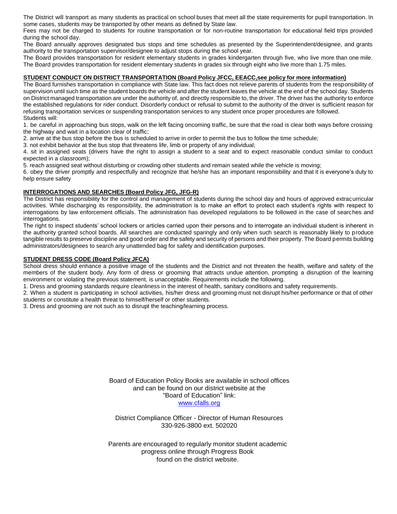The District will transport as many students as practical on school buses that meet all the state requirements for pupil transportation. In some cases, students may be transported by other means as defined by State law.

Fees may not be charged to students for routine transportation or for non-routine transportation for educational field trips provided during the school day.

The Board annually approves designated bus stops and time schedules as presented by the Superintendent/designee, and grants authority to the transportation supervisor/designee to adjust stops during the school year.

The Board provides transportation for resident elementary students in grades kindergarten through five, who live more than one mile. The Board provides transportation for resident elementary students in grades six through eight who live more than 1.75 miles.

#### **STUDENT CONDUCT ON DISTRICT TRANSPORTATION (Board Policy JFCC, EEACC,see policy for more information)**

The Board furnishes transportation in compliance with State law. This fact does not relieve parents of students from the responsibility of supervision until such time as the student boards the vehicle and after the student leaves the vehicle at the end of the school day. Students on District managed transportation are under the authority of, and directly responsible to, the driver. The driver has the authority to enforce the established regulations for rider conduct. Disorderly conduct or refusal to submit to the authority of the driver is sufficient reason for refusing transportation services or suspending transportation services to any student once proper procedures are followed. Students will:

1. be careful in approaching bus stops, walk on the left facing oncoming traffic, be sure that the road is clear both ways before crossing the highway and wait in a location clear of traffic;

2. arrive at the bus stop before the bus is scheduled to arrive in order to permit the bus to follow the time schedule;

3. not exhibit behavior at the bus stop that threatens life, limb or property of any individual;

4. sit in assigned seats (drivers have the right to assign a student to a seat and to expect reasonable conduct similar to conduct expected in a classroom);

5. reach assigned seat without disturbing or crowding other students and remain seated while the vehicle is moving;

6. obey the driver promptly and respectfully and recognize that he/she has an important responsibility and that it is everyone's duty to help ensure safety

#### **INTERROGATIONS AND SEARCHES (Board Policy JFG, JFG-R)**

The District has responsibility for the control and management of students during the school day and hours of approved extracurricular activities. While discharging its responsibility, the administration is to make an effort to protect each student's rights with respect to interrogations by law enforcement officials. The administration has developed regulations to be followed in the case of searches and interrogations.

The right to inspect students' school lockers or articles carried upon their persons and to interrogate an individual student is inherent in the authority granted school boards. All searches are conducted sparingly and only when such search is reasonably likely to produce tangible results to preserve discipline and good order and the safety and security of persons and their property. The Board permits building administrators/designees to search any unattended bag for safety and identification purposes.

#### **STUDENT DRESS CODE (Board Policy JFCA)**

School dress should enhance a positive image of the students and the District and not threaten the health, welfare and safety of the members of the student body. Any form of dress or grooming that attracts undue attention, prompting a disruption of the learning environment or violating the previous statement, is unacceptable. Requirements include the following.

1. Dress and grooming standards require cleanliness in the interest of health, sanitary conditions and safety requirements.

2. When a student is participating in school activities, his/her dress and grooming must not disrupt his/her performance or that of other students or constitute a health threat to himself/herself or other students.

3. Dress and grooming are not such as to disrupt the teaching/learning process.

Board of Education Policy Books are available in school offices and can be found on our district website at the "Board of Education" link: [www.cfalls.org](http://www.cfalls.org/)

District Compliance Officer - Director of Human Resources 330-926-3800 ext. 502020

Parents are encouraged to regularly monitor student academic progress online through Progress Book found on the district website.